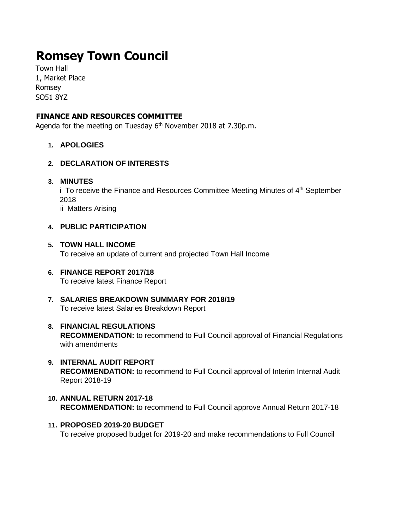# **Romsey Town Council**

Town Hall 1, Market Place Romsey SO51 8YZ

# **FINANCE AND RESOURCES COMMITTEE**

Agenda for the meeting on Tuesday 6<sup>th</sup> November 2018 at 7.30p.m.

**1. APOLOGIES** 

## **2. DECLARATION OF INTERESTS**

#### **3. MINUTES**

i To receive the Finance and Resources Committee Meeting Minutes of 4<sup>th</sup> September 2018 ii Matters Arising

## **4. PUBLIC PARTICIPATION**

#### **5. TOWN HALL INCOME**

To receive an update of current and projected Town Hall Income

- **6. FINANCE REPORT 2017/18**  To receive latest Finance Report
- **7. SALARIES BREAKDOWN SUMMARY FOR 2018/19** To receive latest Salaries Breakdown Report
- **8. FINANCIAL REGULATIONS RECOMMENDATION:** to recommend to Full Council approval of Financial Regulations with amendments
- **9. INTERNAL AUDIT REPORT RECOMMENDATION:** to recommend to Full Council approval of Interim Internal Audit Report 2018-19
- **10. ANNUAL RETURN 2017-18 RECOMMENDATION:** to recommend to Full Council approve Annual Return 2017-18
- **11. PROPOSED 2019-20 BUDGET** To receive proposed budget for 2019-20 and make recommendations to Full Council